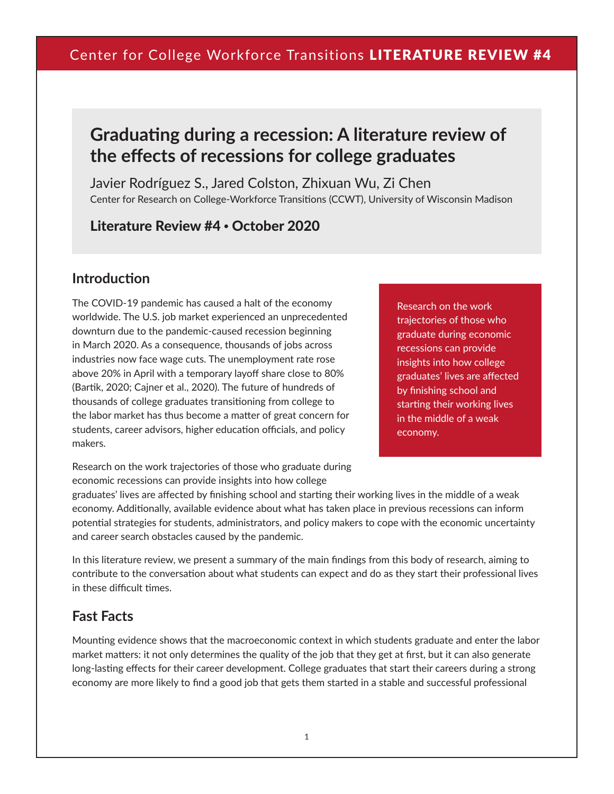# **Graduating during a recession: A literature review of the effects of recessions for college graduates**

Javier Rodríguez S., Jared Colston, Zhixuan Wu, Zi Chen Center for Research on College-Workforce Transitions (CCWT), University of Wisconsin Madison

Literature Review #4 • October 2020

#### **Introduction**

The COVID-19 pandemic has caused a halt of the economy worldwide. The U.S. job market experienced an unprecedented downturn due to the pandemic-caused recession beginning in March 2020. As a consequence, thousands of jobs across industries now face wage cuts. The unemployment rate rose above 20% in April with a temporary layoff share close to 80% (Bartik, 2020; Cajner et al., 2020). The future of hundreds of thousands of college graduates transitioning from college to the labor market has thus become a matter of great concern for students, career advisors, higher education officials, and policy makers.

Research on the work trajectories of those who graduate during economic recessions can provide insights into how college graduates' lives are affected by finishing school and starting their working lives in the middle of a weak economy.

Research on the work trajectories of those who graduate during economic recessions can provide insights into how college

graduates' lives are affected by finishing school and starting their working lives in the middle of a weak economy. Additionally, available evidence about what has taken place in previous recessions can inform potential strategies for students, administrators, and policy makers to cope with the economic uncertainty and career search obstacles caused by the pandemic.

In this literature review, we present a summary of the main findings from this body of research, aiming to contribute to the conversation about what students can expect and do as they start their professional lives in these difficult times.

#### **Fast Facts**

Mounting evidence shows that the macroeconomic context in which students graduate and enter the labor market matters: it not only determines the quality of the job that they get at first, but it can also generate long-lasting effects for their career development. College graduates that start their careers during a strong economy are more likely to find a good job that gets them started in a stable and successful professional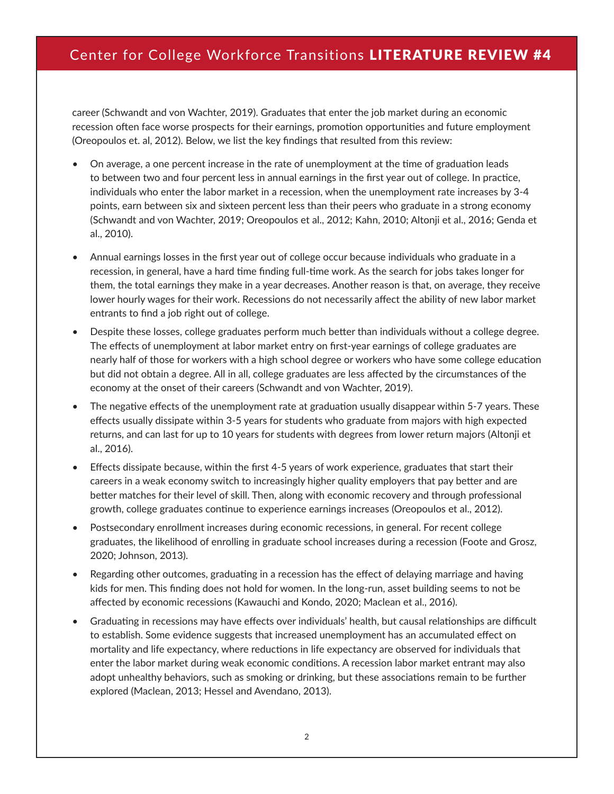career (Schwandt and von Wachter, 2019). Graduates that enter the job market during an economic recession often face worse prospects for their earnings, promotion opportunities and future employment (Oreopoulos et. al, 2012). Below, we list the key findings that resulted from this review:

- On average, a one percent increase in the rate of unemployment at the time of graduation leads to between two and four percent less in annual earnings in the first year out of college. In practice, individuals who enter the labor market in a recession, when the unemployment rate increases by 3-4 points, earn between six and sixteen percent less than their peers who graduate in a strong economy (Schwandt and von Wachter, 2019; Oreopoulos et al., 2012; Kahn, 2010; Altonji et al., 2016; Genda et al., 2010).
- Annual earnings losses in the first year out of college occur because individuals who graduate in a recession, in general, have a hard time finding full-time work. As the search for jobs takes longer for them, the total earnings they make in a year decreases. Another reason is that, on average, they receive lower hourly wages for their work. Recessions do not necessarily affect the ability of new labor market entrants to find a job right out of college.
- Despite these losses, college graduates perform much better than individuals without a college degree. The effects of unemployment at labor market entry on first-year earnings of college graduates are nearly half of those for workers with a high school degree or workers who have some college education but did not obtain a degree. All in all, college graduates are less affected by the circumstances of the economy at the onset of their careers (Schwandt and von Wachter, 2019).
- The negative effects of the unemployment rate at graduation usually disappear within 5-7 years. These effects usually dissipate within 3-5 years for students who graduate from majors with high expected returns, and can last for up to 10 years for students with degrees from lower return majors (Altonji et al., 2016).
- Effects dissipate because, within the first 4-5 years of work experience, graduates that start their careers in a weak economy switch to increasingly higher quality employers that pay better and are better matches for their level of skill. Then, along with economic recovery and through professional growth, college graduates continue to experience earnings increases (Oreopoulos et al., 2012).
- Postsecondary enrollment increases during economic recessions, in general. For recent college graduates, the likelihood of enrolling in graduate school increases during a recession (Foote and Grosz, 2020; Johnson, 2013).
- Regarding other outcomes, graduating in a recession has the effect of delaying marriage and having kids for men. This finding does not hold for women. In the long-run, asset building seems to not be affected by economic recessions (Kawauchi and Kondo, 2020; Maclean et al., 2016).
- Graduating in recessions may have effects over individuals' health, but causal relationships are difficult to establish. Some evidence suggests that increased unemployment has an accumulated effect on mortality and life expectancy, where reductions in life expectancy are observed for individuals that enter the labor market during weak economic conditions. A recession labor market entrant may also adopt unhealthy behaviors, such as smoking or drinking, but these associations remain to be further explored (Maclean, 2013; Hessel and Avendano, 2013).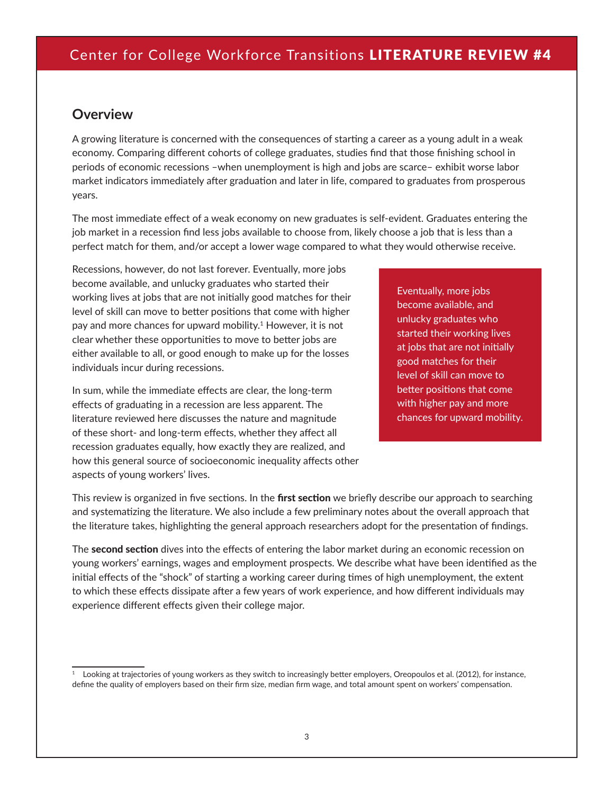#### **Overview**

A growing literature is concerned with the consequences of starting a career as a young adult in a weak economy. Comparing different cohorts of college graduates, studies find that those finishing school in periods of economic recessions –when unemployment is high and jobs are scarce– exhibit worse labor market indicators immediately after graduation and later in life, compared to graduates from prosperous years.

The most immediate effect of a weak economy on new graduates is self-evident. Graduates entering the job market in a recession find less jobs available to choose from, likely choose a job that is less than a perfect match for them, and/or accept a lower wage compared to what they would otherwise receive.

Recessions, however, do not last forever. Eventually, more jobs become available, and unlucky graduates who started their working lives at jobs that are not initially good matches for their level of skill can move to better positions that come with higher pay and more chances for upward mobility.<sup>1</sup> However, it is not clear whether these opportunities to move to better jobs are either available to all, or good enough to make up for the losses individuals incur during recessions.

In sum, while the immediate effects are clear, the long-term effects of graduating in a recession are less apparent. The literature reviewed here discusses the nature and magnitude of these short- and long-term effects, whether they affect all recession graduates equally, how exactly they are realized, and how this general source of socioeconomic inequality affects other aspects of young workers' lives.

Eventually, more jobs become available, and unlucky graduates who started their working lives at jobs that are not initially good matches for their level of skill can move to better positions that come with higher pay and more chances for upward mobility.

This review is organized in five sections. In the first section we briefly describe our approach to searching and systematizing the literature. We also include a few preliminary notes about the overall approach that the literature takes, highlighting the general approach researchers adopt for the presentation of findings.

The second section dives into the effects of entering the labor market during an economic recession on young workers' earnings, wages and employment prospects. We describe what have been identified as the initial effects of the "shock" of starting a working career during times of high unemployment, the extent to which these effects dissipate after a few years of work experience, and how different individuals may experience different effects given their college major.

Looking at trajectories of young workers as they switch to increasingly better employers, Oreopoulos et al. (2012), for instance, define the quality of employers based on their firm size, median firm wage, and total amount spent on workers' compensation.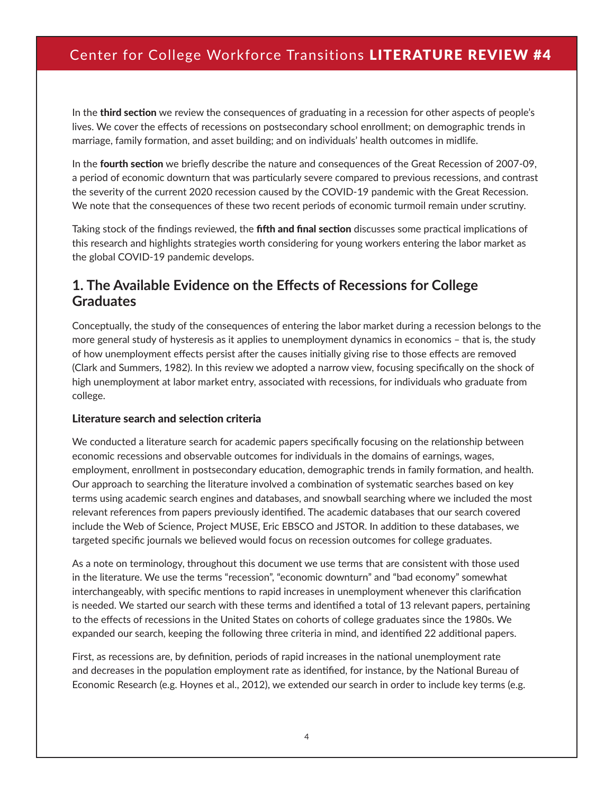In the **third section** we review the consequences of graduating in a recession for other aspects of people's lives. We cover the effects of recessions on postsecondary school enrollment; on demographic trends in marriage, family formation, and asset building; and on individuals' health outcomes in midlife.

In the **fourth section** we briefly describe the nature and consequences of the Great Recession of 2007-09, a period of economic downturn that was particularly severe compared to previous recessions, and contrast the severity of the current 2020 recession caused by the COVID-19 pandemic with the Great Recession. We note that the consequences of these two recent periods of economic turmoil remain under scrutiny.

Taking stock of the findings reviewed, the **fifth and final section** discusses some practical implications of this research and highlights strategies worth considering for young workers entering the labor market as the global COVID-19 pandemic develops.

#### **1. The Available Evidence on the Effects of Recessions for College Graduates**

Conceptually, the study of the consequences of entering the labor market during a recession belongs to the more general study of hysteresis as it applies to unemployment dynamics in economics – that is, the study of how unemployment effects persist after the causes initially giving rise to those effects are removed (Clark and Summers, 1982). In this review we adopted a narrow view, focusing specifically on the shock of high unemployment at labor market entry, associated with recessions, for individuals who graduate from college.

#### Literature search and selection criteria

We conducted a literature search for academic papers specifically focusing on the relationship between economic recessions and observable outcomes for individuals in the domains of earnings, wages, employment, enrollment in postsecondary education, demographic trends in family formation, and health. Our approach to searching the literature involved a combination of systematic searches based on key terms using academic search engines and databases, and snowball searching where we included the most relevant references from papers previously identified. The academic databases that our search covered include the Web of Science, Project MUSE, Eric EBSCO and JSTOR. In addition to these databases, we targeted specific journals we believed would focus on recession outcomes for college graduates.

As a note on terminology, throughout this document we use terms that are consistent with those used in the literature. We use the terms "recession", "economic downturn" and "bad economy" somewhat interchangeably, with specific mentions to rapid increases in unemployment whenever this clarification is needed. We started our search with these terms and identified a total of 13 relevant papers, pertaining to the effects of recessions in the United States on cohorts of college graduates since the 1980s. We expanded our search, keeping the following three criteria in mind, and identified 22 additional papers.

First, as recessions are, by definition, periods of rapid increases in the national unemployment rate and decreases in the population employment rate as identified, for instance, by the National Bureau of Economic Research (e.g. Hoynes et al., 2012), we extended our search in order to include key terms (e.g.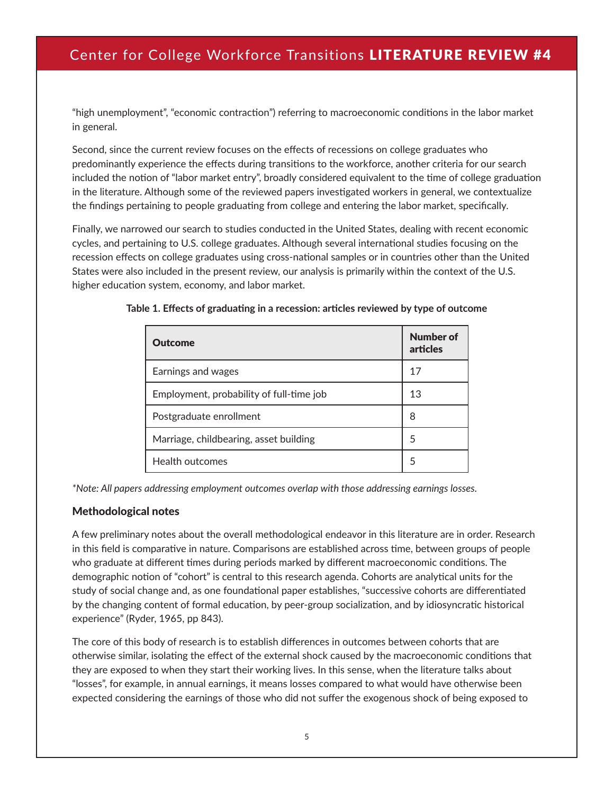"high unemployment", "economic contraction") referring to macroeconomic conditions in the labor market in general.

Second, since the current review focuses on the effects of recessions on college graduates who predominantly experience the effects during transitions to the workforce, another criteria for our search included the notion of "labor market entry", broadly considered equivalent to the time of college graduation in the literature. Although some of the reviewed papers investigated workers in general, we contextualize the findings pertaining to people graduating from college and entering the labor market, specifically.

Finally, we narrowed our search to studies conducted in the United States, dealing with recent economic cycles, and pertaining to U.S. college graduates. Although several international studies focusing on the recession effects on college graduates using cross-national samples or in countries other than the United States were also included in the present review, our analysis is primarily within the context of the U.S. higher education system, economy, and labor market.

| <b>Outcome</b>                           | <b>Number of</b><br>articles |
|------------------------------------------|------------------------------|
| Earnings and wages                       | 17                           |
| Employment, probability of full-time job | 13                           |
| Postgraduate enrollment                  | 8                            |
| Marriage, childbearing, asset building   | 5                            |
| Health outcomes                          | 5                            |

**Table 1. Effects of graduating in a recession: articles reviewed by type of outcome** 

*\*Note: All papers addressing employment outcomes overlap with those addressing earnings losses.*

#### Methodological notes

A few preliminary notes about the overall methodological endeavor in this literature are in order. Research in this field is comparative in nature. Comparisons are established across time, between groups of people who graduate at different times during periods marked by different macroeconomic conditions. The demographic notion of "cohort" is central to this research agenda. Cohorts are analytical units for the study of social change and, as one foundational paper establishes, "successive cohorts are differentiated by the changing content of formal education, by peer-group socialization, and by idiosyncratic historical experience" (Ryder, 1965, pp 843).

The core of this body of research is to establish differences in outcomes between cohorts that are otherwise similar, isolating the effect of the external shock caused by the macroeconomic conditions that they are exposed to when they start their working lives. In this sense, when the literature talks about "losses", for example, in annual earnings, it means losses compared to what would have otherwise been expected considering the earnings of those who did not suffer the exogenous shock of being exposed to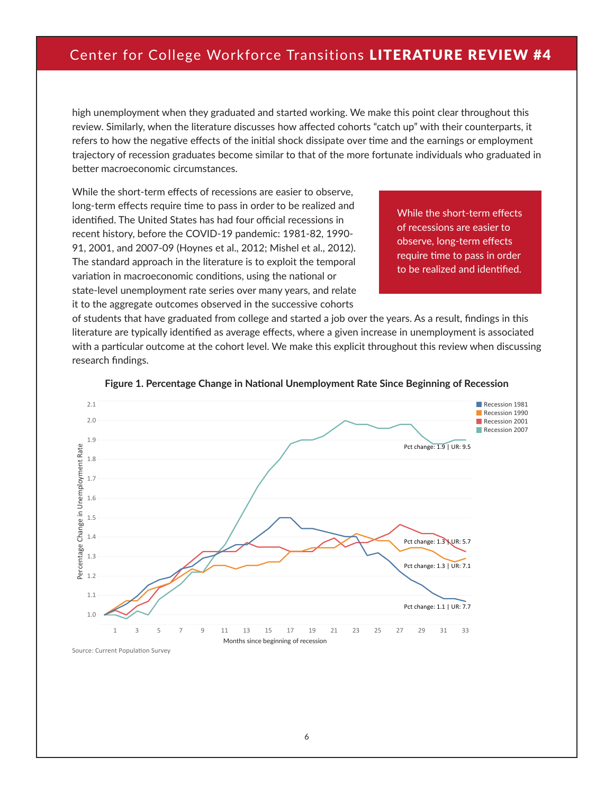high unemployment when they graduated and started working. We make this point clear throughout this review. Similarly, when the literature discusses how affected cohorts "catch up" with their counterparts, it refers to how the negative effects of the initial shock dissipate over time and the earnings or employment trajectory of recession graduates become similar to that of the more fortunate individuals who graduated in better macroeconomic circumstances.

While the short-term effects of recessions are easier to observe, long-term effects require time to pass in order to be realized and identified. The United States has had four official recessions in recent history, before the COVID-19 pandemic: 1981-82, 1990- 91, 2001, and 2007-09 (Hoynes et al., 2012; Mishel et al., 2012). The standard approach in the literature is to exploit the temporal variation in macroeconomic conditions, using the national or state-level unemployment rate series over many years, and relate it to the aggregate outcomes observed in the successive cohorts

While the short-term effects of recessions are easier to observe, long-term effects require time to pass in order to be realized and identified.

of students that have graduated from college and started a job over the years. As a result, findings in this literature are typically identified as average effects, where a given increase in unemployment is associated with a particular outcome at the cohort level. We make this explicit throughout this review when discussing research findings.



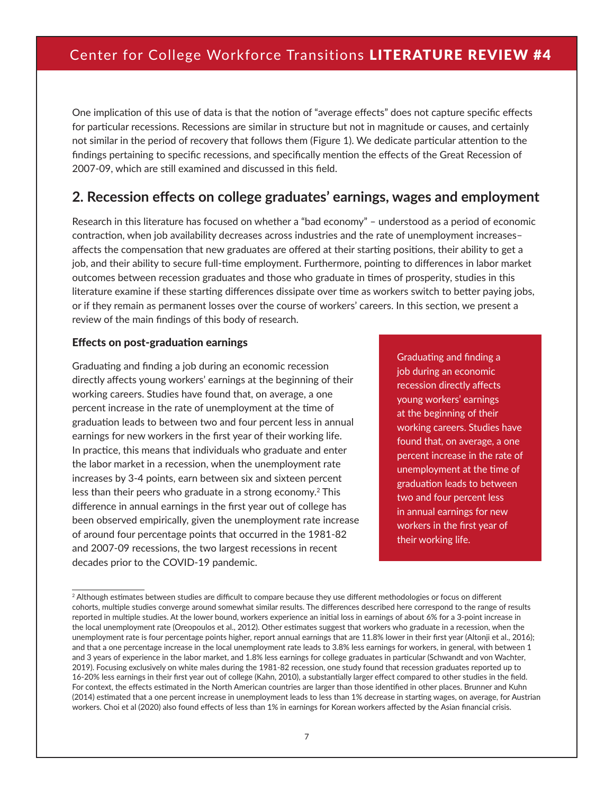One implication of this use of data is that the notion of "average effects" does not capture specific effects for particular recessions. Recessions are similar in structure but not in magnitude or causes, and certainly not similar in the period of recovery that follows them (Figure 1). We dedicate particular attention to the findings pertaining to specific recessions, and specifically mention the effects of the Great Recession of 2007-09, which are still examined and discussed in this field.

#### **2. Recession effects on college graduates' earnings, wages and employment**

Research in this literature has focused on whether a "bad economy" – understood as a period of economic contraction, when job availability decreases across industries and the rate of unemployment increases– affects the compensation that new graduates are offered at their starting positions, their ability to get a job, and their ability to secure full-time employment. Furthermore, pointing to differences in labor market outcomes between recession graduates and those who graduate in times of prosperity, studies in this literature examine if these starting differences dissipate over time as workers switch to better paying jobs, or if they remain as permanent losses over the course of workers' careers. In this section, we present a review of the main findings of this body of research.

#### Effects on post-graduation earnings

Graduating and finding a job during an economic recession directly affects young workers' earnings at the beginning of their working careers. Studies have found that, on average, a one percent increase in the rate of unemployment at the time of graduation leads to between two and four percent less in annual earnings for new workers in the first year of their working life. In practice, this means that individuals who graduate and enter the labor market in a recession, when the unemployment rate increases by 3-4 points, earn between six and sixteen percent less than their peers who graduate in a strong economy.2 This difference in annual earnings in the first year out of college has been observed empirically, given the unemployment rate increase of around four percentage points that occurred in the 1981-82 and 2007-09 recessions, the two largest recessions in recent decades prior to the COVID-19 pandemic.

Graduating and finding a job during an economic recession directly affects young workers' earnings at the beginning of their working careers. Studies have found that, on average, a one percent increase in the rate of unemployment at the time of graduation leads to between two and four percent less in annual earnings for new workers in the first year of their working life.

<sup>&</sup>lt;sup>2</sup> Although estimates between studies are difficult to compare because they use different methodologies or focus on different cohorts, multiple studies converge around somewhat similar results. The differences described here correspond to the range of results reported in multiple studies. At the lower bound, workers experience an initial loss in earnings of about 6% for a 3-point increase in the local unemployment rate (Oreopoulos et al., 2012). Other estimates suggest that workers who graduate in a recession, when the unemployment rate is four percentage points higher, report annual earnings that are 11.8% lower in their first year (Altonji et al., 2016); and that a one percentage increase in the local unemployment rate leads to 3.8% less earnings for workers, in general, with between 1 and 3 years of experience in the labor market, and 1.8% less earnings for college graduates in particular (Schwandt and von Wachter, 2019). Focusing exclusively on white males during the 1981-82 recession, one study found that recession graduates reported up to 16-20% less earnings in their first year out of college (Kahn, 2010), a substantially larger effect compared to other studies in the field. For context, the effects estimated in the North American countries are larger than those identified in other places. Brunner and Kuhn (2014) estimated that a one percent increase in unemployment leads to less than 1% decrease in starting wages, on average, for Austrian workers. Choi et al (2020) also found effects of less than 1% in earnings for Korean workers affected by the Asian financial crisis.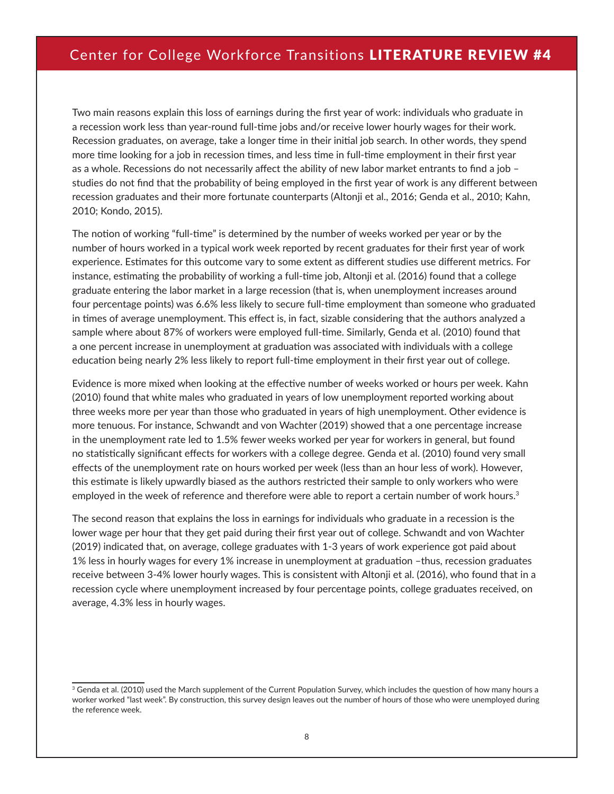Two main reasons explain this loss of earnings during the first year of work: individuals who graduate in a recession work less than year-round full-time jobs and/or receive lower hourly wages for their work. Recession graduates, on average, take a longer time in their initial job search. In other words, they spend more time looking for a job in recession times, and less time in full-time employment in their first year as a whole. Recessions do not necessarily affect the ability of new labor market entrants to find a job – studies do not find that the probability of being employed in the first year of work is any different between recession graduates and their more fortunate counterparts (Altonji et al., 2016; Genda et al., 2010; Kahn, 2010; Kondo, 2015).

The notion of working "full-time" is determined by the number of weeks worked per year or by the number of hours worked in a typical work week reported by recent graduates for their first year of work experience. Estimates for this outcome vary to some extent as different studies use different metrics. For instance, estimating the probability of working a full-time job, Altonji et al. (2016) found that a college graduate entering the labor market in a large recession (that is, when unemployment increases around four percentage points) was 6.6% less likely to secure full-time employment than someone who graduated in times of average unemployment. This effect is, in fact, sizable considering that the authors analyzed a sample where about 87% of workers were employed full-time. Similarly, Genda et al. (2010) found that a one percent increase in unemployment at graduation was associated with individuals with a college education being nearly 2% less likely to report full-time employment in their first year out of college.

Evidence is more mixed when looking at the effective number of weeks worked or hours per week. Kahn (2010) found that white males who graduated in years of low unemployment reported working about three weeks more per year than those who graduated in years of high unemployment. Other evidence is more tenuous. For instance, Schwandt and von Wachter (2019) showed that a one percentage increase in the unemployment rate led to 1.5% fewer weeks worked per year for workers in general, but found no statistically significant effects for workers with a college degree. Genda et al. (2010) found very small effects of the unemployment rate on hours worked per week (less than an hour less of work). However, this estimate is likely upwardly biased as the authors restricted their sample to only workers who were employed in the week of reference and therefore were able to report a certain number of work hours.<sup>3</sup>

The second reason that explains the loss in earnings for individuals who graduate in a recession is the lower wage per hour that they get paid during their first year out of college. Schwandt and von Wachter (2019) indicated that, on average, college graduates with 1-3 years of work experience got paid about 1% less in hourly wages for every 1% increase in unemployment at graduation –thus, recession graduates receive between 3-4% lower hourly wages. This is consistent with Altonji et al. (2016), who found that in a recession cycle where unemployment increased by four percentage points, college graduates received, on average, 4.3% less in hourly wages.

<sup>&</sup>lt;sup>3</sup> Genda et al. (2010) used the March supplement of the Current Population Survey, which includes the question of how many hours a worker worked "last week". By construction, this survey design leaves out the number of hours of those who were unemployed during the reference week.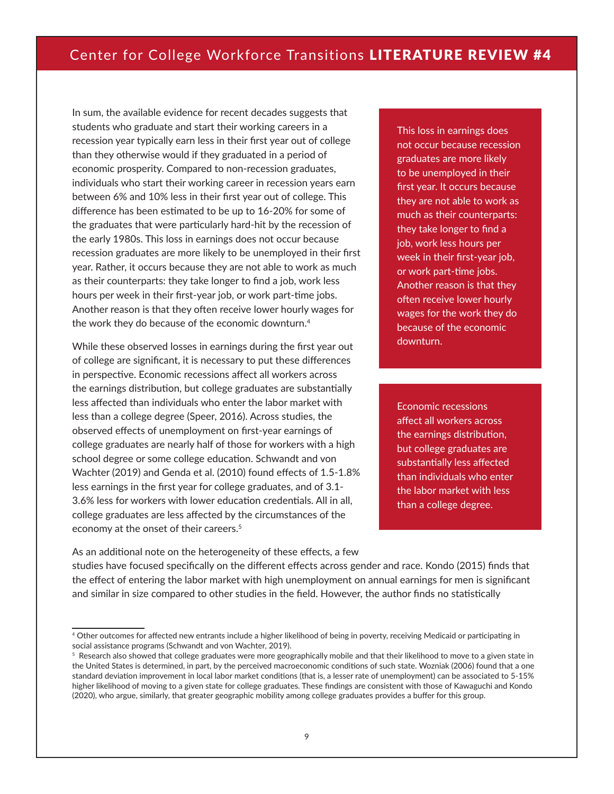In sum, the available evidence for recent decades suggests that students who graduate and start their working careers in a recession year typically earn less in their first year out of college than they otherwise would if they graduated in a period of economic prosperity. Compared to non-recession graduates, individuals who start their working career in recession years earn between 6% and 10% less in their first year out of college. This difference has been estimated to be up to 16-20% for some of the graduates that were particularly hard-hit by the recession of the early 1980s. This loss in earnings does not occur because recession graduates are more likely to be unemployed in their first year. Rather, it occurs because they are not able to work as much as their counterparts: they take longer to find a job, work less hours per week in their first-year job, or work part-time jobs. Another reason is that they often receive lower hourly wages for the work they do because of the economic downturn.4

While these observed losses in earnings during the first year out of college are significant, it is necessary to put these differences in perspective. Economic recessions affect all workers across the earnings distribution, but college graduates are substantially less affected than individuals who enter the labor market with less than a college degree (Speer, 2016). Across studies, the observed effects of unemployment on first-year earnings of college graduates are nearly half of those for workers with a high school degree or some college education. Schwandt and von Wachter (2019) and Genda et al. (2010) found effects of 1.5-1.8% less earnings in the first year for college graduates, and of 3.1- 3.6% less for workers with lower education credentials. All in all, college graduates are less affected by the circumstances of the economy at the onset of their careers.<sup>5</sup>

This loss in earnings does not occur because recession graduates are more likely to be unemployed in their first year. It occurs because they are not able to work as much as their counterparts: they take longer to find a job, work less hours per week in their first-year job, or work part-time jobs. Another reason is that they often receive lower hourly wages for the work they do because of the economic downturn.

Economic recessions affect all workers across the earnings distribution, but college graduates are substantially less affected than individuals who enter the labor market with less than a college degree.

As an additional note on the heterogeneity of these effects, a few studies have focused specifically on the different effects across gender and race. Kondo (2015) finds that the effect of entering the labor market with high unemployment on annual earnings for men is significant and similar in size compared to other studies in the field. However, the author finds no statistically

<sup>4</sup> Other outcomes for affected new entrants include a higher likelihood of being in poverty, receiving Medicaid or participating in social assistance programs (Schwandt and von Wachter, 2019).

 $5$  Research also showed that college graduates were more geographically mobile and that their likelihood to move to a given state in the United States is determined, in part, by the perceived macroeconomic conditions of such state. Wozniak (2006) found that a one standard deviation improvement in local labor market conditions (that is, a lesser rate of unemployment) can be associated to 5-15% higher likelihood of moving to a given state for college graduates. These findings are consistent with those of Kawaguchi and Kondo (2020), who argue, similarly, that greater geographic mobility among college graduates provides a buffer for this group.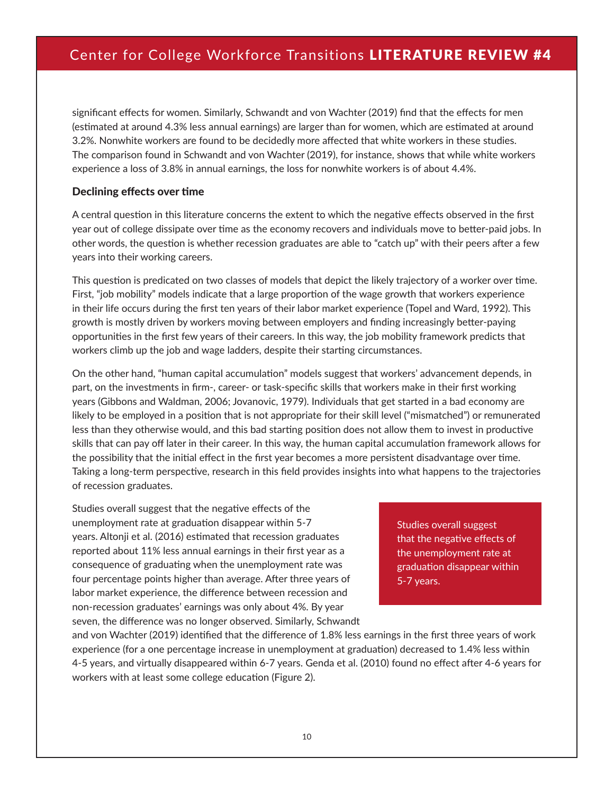significant effects for women. Similarly, Schwandt and von Wachter (2019) find that the effects for men (estimated at around 4.3% less annual earnings) are larger than for women, which are estimated at around 3.2%. Nonwhite workers are found to be decidedly more affected that white workers in these studies. The comparison found in Schwandt and von Wachter (2019), for instance, shows that while white workers experience a loss of 3.8% in annual earnings, the loss for nonwhite workers is of about 4.4%.

#### Declining effects over time

A central question in this literature concerns the extent to which the negative effects observed in the first year out of college dissipate over time as the economy recovers and individuals move to better-paid jobs. In other words, the question is whether recession graduates are able to "catch up" with their peers after a few years into their working careers.

This question is predicated on two classes of models that depict the likely trajectory of a worker over time. First, "job mobility" models indicate that a large proportion of the wage growth that workers experience in their life occurs during the first ten years of their labor market experience (Topel and Ward, 1992). This growth is mostly driven by workers moving between employers and finding increasingly better-paying opportunities in the first few years of their careers. In this way, the job mobility framework predicts that workers climb up the job and wage ladders, despite their starting circumstances.

On the other hand, "human capital accumulation" models suggest that workers' advancement depends, in part, on the investments in firm-, career- or task-specific skills that workers make in their first working years (Gibbons and Waldman, 2006; Jovanovic, 1979). Individuals that get started in a bad economy are likely to be employed in a position that is not appropriate for their skill level ("mismatched") or remunerated less than they otherwise would, and this bad starting position does not allow them to invest in productive skills that can pay off later in their career. In this way, the human capital accumulation framework allows for the possibility that the initial effect in the first year becomes a more persistent disadvantage over time. Taking a long-term perspective, research in this field provides insights into what happens to the trajectories of recession graduates.

Studies overall suggest that the negative effects of the unemployment rate at graduation disappear within 5-7 years. Altonji et al. (2016) estimated that recession graduates reported about 11% less annual earnings in their first year as a consequence of graduating when the unemployment rate was four percentage points higher than average. After three years of labor market experience, the difference between recession and non-recession graduates' earnings was only about 4%. By year seven, the difference was no longer observed. Similarly, Schwandt

Studies overall suggest that the negative effects of the unemployment rate at graduation disappear within 5-7 years.

and von Wachter (2019) identified that the difference of 1.8% less earnings in the first three years of work experience (for a one percentage increase in unemployment at graduation) decreased to 1.4% less within 4-5 years, and virtually disappeared within 6-7 years. Genda et al. (2010) found no effect after 4-6 years for workers with at least some college education (Figure 2).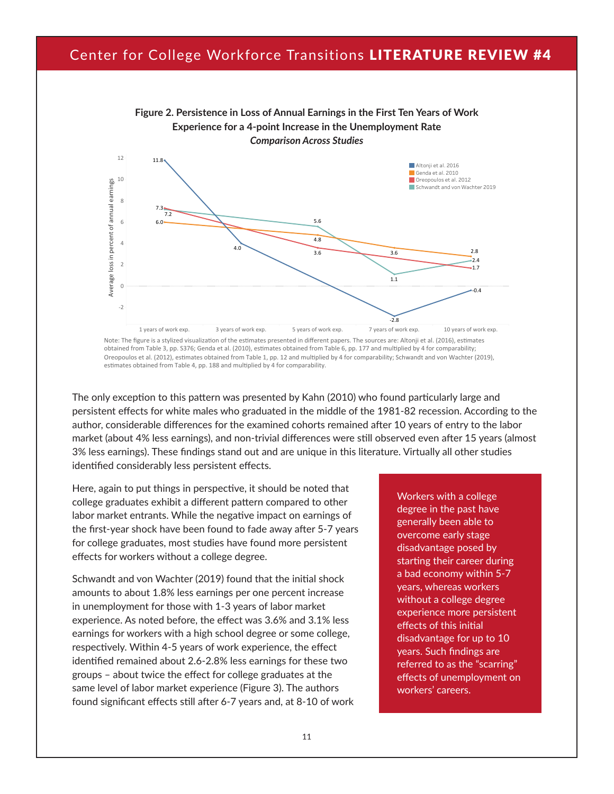

obtained from Table 3, pp. S376; Genda et al. (2010), estimates obtained from Table 6, pp. 177 and multiplied by 4 for comparability; Oreopoulos et al. (2012), estimates obtained from Table 1, pp. 12 and multiplied by 4 for comparability; Schwandt and von Wachter (2019), estimates obtained from Table 4, pp. 188 and multiplied by 4 for comparability.

The only exception to this pattern was presented by Kahn (2010) who found particularly large and persistent effects for white males who graduated in the middle of the 1981-82 recession. According to the author, considerable differences for the examined cohorts remained after 10 years of entry to the labor market (about 4% less earnings), and non-trivial differences were still observed even after 15 years (almost 3% less earnings). These findings stand out and are unique in this literature. Virtually all other studies identified considerably less persistent effects.

Here, again to put things in perspective, it should be noted that college graduates exhibit a different pattern compared to other labor market entrants. While the negative impact on earnings of the first-year shock have been found to fade away after 5-7 years for college graduates, most studies have found more persistent effects for workers without a college degree.

Schwandt and von Wachter (2019) found that the initial shock amounts to about 1.8% less earnings per one percent increase in unemployment for those with 1-3 years of labor market experience. As noted before, the effect was 3.6% and 3.1% less earnings for workers with a high school degree or some college, respectively. Within 4-5 years of work experience, the effect identified remained about 2.6-2.8% less earnings for these two groups – about twice the effect for college graduates at the same level of labor market experience (Figure 3). The authors found significant effects still after 6-7 years and, at 8-10 of work Workers with a college degree in the past have generally been able to overcome early stage disadvantage posed by starting their career during a bad economy within 5-7 years, whereas workers without a college degree experience more persistent effects of this initial disadvantage for up to 10 years. Such findings are referred to as the "scarring" effects of unemployment on workers' careers.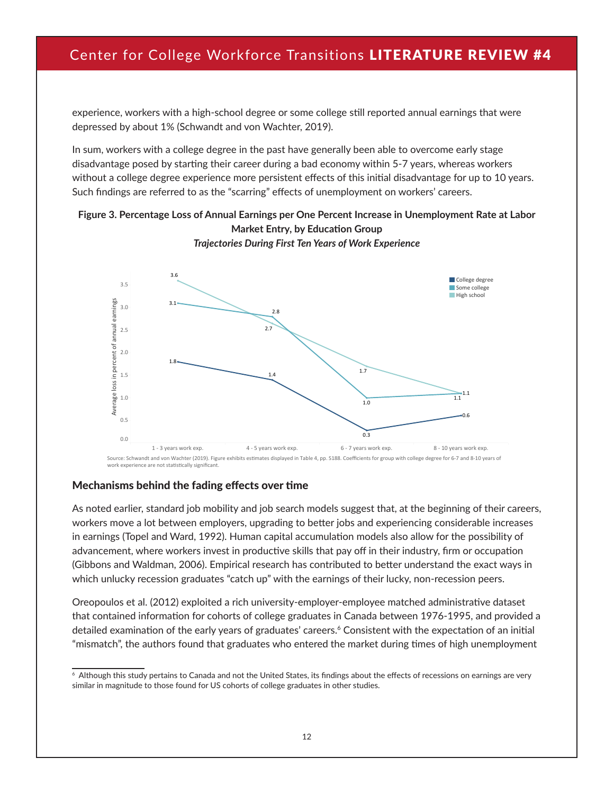experience, workers with a high-school degree or some college still reported annual earnings that were depressed by about 1% (Schwandt and von Wachter, 2019).

In sum, workers with a college degree in the past have generally been able to overcome early stage disadvantage posed by starting their career during a bad economy within 5-7 years, whereas workers without a college degree experience more persistent effects of this initial disadvantage for up to 10 years. Such findings are referred to as the "scarring" effects of unemployment on workers' careers.

#### **Figure 3. Percentage Loss of Annual Earnings per One Percent Increase in Unemployment Rate at Labor Market Entry, by Education Group**



*Traince Endy, by Eddedtion Group*<br>Trajectories During First Ten Years of Work Experience Indecentes Buring First for Tears of Horn Experience

#### Mechanisms behind the fading effects over time

As noted earlier, standard job mobility and job search models suggest that, at the beginning of their careers, workers move a lot between employers, upgrading to better jobs and experiencing considerable increases in earnings (Topel and Ward, 1992). Human capital accumulation models also allow for the possibility of advancement, where workers invest in productive skills that pay off in their industry, firm or occupation (Gibbons and Waldman, 2006). Empirical research has contributed to better understand the exact ways in which unlucky recession graduates "catch up" with the earnings of their lucky, non-recession peers.

Oreopoulos et al. (2012) exploited a rich university-employer-employee matched administrative dataset that contained information for cohorts of college graduates in Canada between 1976-1995, and provided a detailed examination of the early years of graduates' careers.<sup>6</sup> Consistent with the expectation of an initial "mismatch", the authors found that graduates who entered the market during times of high unemployment

 $6$  Although this study pertains to Canada and not the United States, its findings about the effects of recessions on earnings are very similar in magnitude to those found for US cohorts of college graduates in other studies.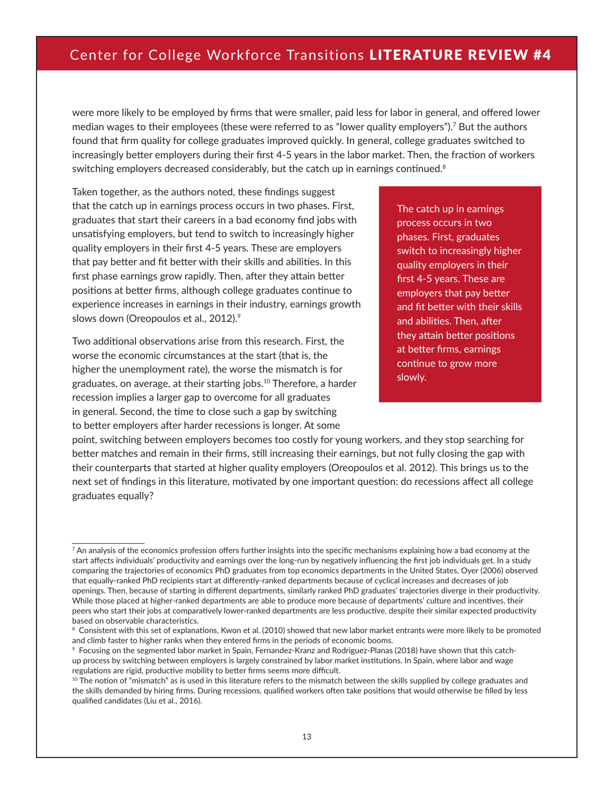were more likely to be employed by firms that were smaller, paid less for labor in general, and offered lower median wages to their employees (these were referred to as "lower quality employers").7 But the authors found that firm quality for college graduates improved quickly. In general, college graduates switched to increasingly better employers during their first 4-5 years in the labor market. Then, the fraction of workers switching employers decreased considerably, but the catch up in earnings continued. $8$ 

Taken together, as the authors noted, these findings suggest that the catch up in earnings process occurs in two phases. First, graduates that start their careers in a bad economy find jobs with unsatisfying employers, but tend to switch to increasingly higher quality employers in their first 4-5 years. These are employers that pay better and fit better with their skills and abilities. In this first phase earnings grow rapidly. Then, after they attain better positions at better firms, although college graduates continue to experience increases in earnings in their industry, earnings growth slows down (Oreopoulos et al., 2012).<sup>9</sup>

Two additional observations arise from this research. First, the worse the economic circumstances at the start (that is, the higher the unemployment rate), the worse the mismatch is for graduates, on average, at their starting jobs.10 Therefore, a harder recession implies a larger gap to overcome for all graduates in general. Second, the time to close such a gap by switching to better employers after harder recessions is longer. At some

The catch up in earnings process occurs in two phases. First, graduates switch to increasingly higher quality employers in their first 4-5 years. These are employers that pay better and fit better with their skills and abilities. Then, after they attain better positions at better firms, earnings continue to grow more slowly.

point, switching between employers becomes too costly for young workers, and they stop searching for better matches and remain in their firms, still increasing their earnings, but not fully closing the gap with their counterparts that started at higher quality employers (Oreopoulos et al. 2012). This brings us to the next set of findings in this literature, motivated by one important question: do recessions affect all college graduates equally?

 $7$  An analysis of the economics profession offers further insights into the specific mechanisms explaining how a bad economy at the start affects individuals' productivity and earnings over the long-run by negatively influencing the first job individuals get. In a study comparing the trajectories of economics PhD graduates from top economics departments in the United States, Oyer (2006) observed that equally-ranked PhD recipients start at differently-ranked departments because of cyclical increases and decreases of job openings. Then, because of starting in different departments, similarly ranked PhD graduates' trajectories diverge in their productivity. While those placed at higher-ranked departments are able to produce more because of departments' culture and incentives, their peers who start their jobs at comparatively lower-ranked departments are less productive, despite their similar expected productivity based on observable characteristics.

<sup>&</sup>lt;sup>8</sup> Consistent with this set of explanations, Kwon et al. (2010) showed that new labor market entrants were more likely to be promoted and climb faster to higher ranks when they entered firms in the periods of economic booms.

<sup>9</sup> Focusing on the segmented labor market in Spain, Fernandez-Kranz and Rodriguez-Planas (2018) have shown that this catchup process by switching between employers is largely constrained by labor market institutions. In Spain, where labor and wage regulations are rigid, productive mobility to better firms seems more difficult.

<sup>&</sup>lt;sup>10</sup> The notion of "mismatch" as is used in this literature refers to the mismatch between the skills supplied by college graduates and the skills demanded by hiring firms. During recessions, qualified workers often take positions that would otherwise be filled by less qualified candidates (Liu et al., 2016).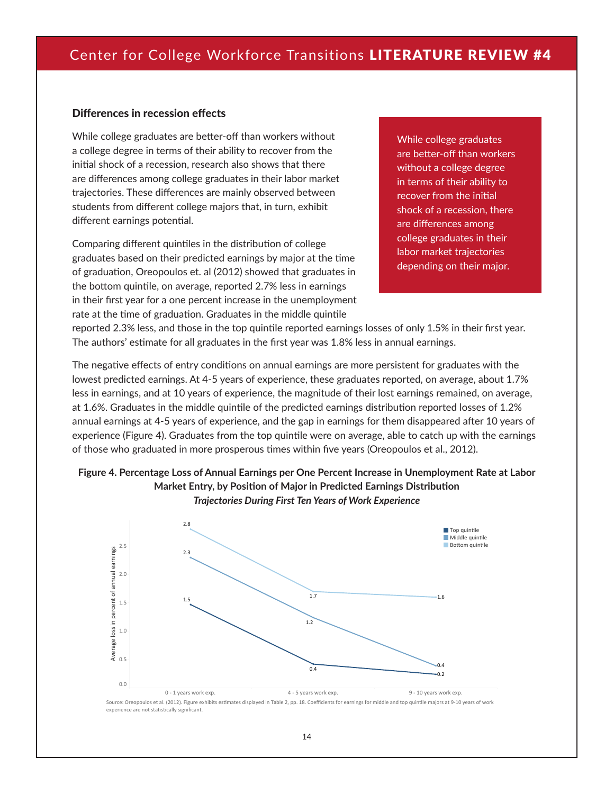#### Differences in recession effects

While college graduates are better-off than workers without a college degree in terms of their ability to recover from the initial shock of a recession, research also shows that there are differences among college graduates in their labor market trajectories. These differences are mainly observed between students from different college majors that, in turn, exhibit different earnings potential.

Comparing different quintiles in the distribution of college graduates based on their predicted earnings by major at the time of graduation, Oreopoulos et. al (2012) showed that graduates in the bottom quintile, on average, reported 2.7% less in earnings in their first year for a one percent increase in the unemployment rate at the time of graduation. Graduates in the middle quintile

While college graduates are better-off than workers without a college degree in terms of their ability to recover from the initial shock of a recession, there are differences among college graduates in their labor market trajectories depending on their major.

reported 2.3% less, and those in the top quintile reported earnings losses of only 1.5% in their first year. The authors' estimate for all graduates in the first year was 1.8% less in annual earnings.

The negative effects of entry conditions on annual earnings are more persistent for graduates with the lowest predicted earnings. At 4-5 years of experience, these graduates reported, on average, about 1.7% less in earnings, and at 10 years of experience, the magnitude of their lost earnings remained, on average, at 1.6%. Graduates in the middle quintile of the predicted earnings distribution reported losses of 1.2% annual earnings at 4-5 years of experience, and the gap in earnings for them disappeared after 10 years of experience (Figure 4). Graduates from the top quintile were on average, able to catch up with the earnings of those who graduated in more prosperous times within five years (Oreopoulos et al., 2012).





Source: Oreopoulos et al. (2012). Figure exhibits estimates displayed in Table 2, pp. 18. Coefficients for earnings for middle and top quintile majors at 9-10 years of work experience are not statistically significant.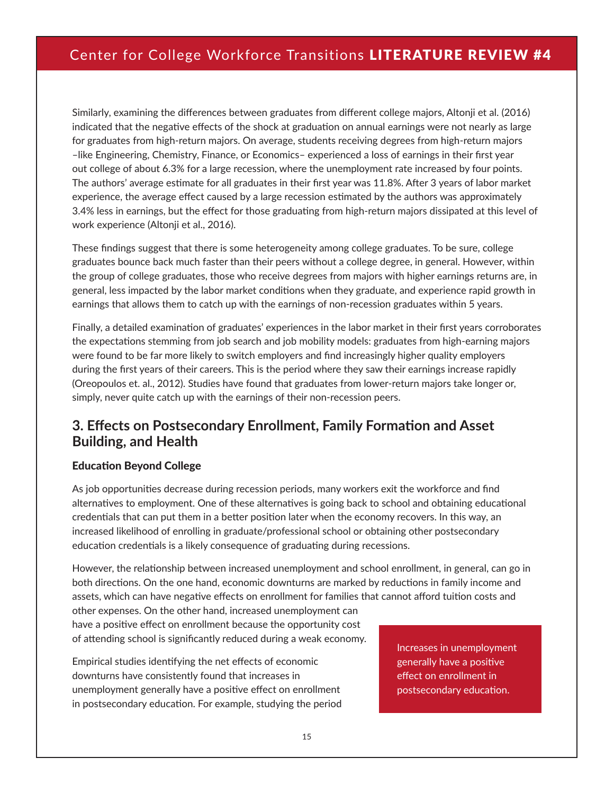Similarly, examining the differences between graduates from different college majors, Altonji et al. (2016) indicated that the negative effects of the shock at graduation on annual earnings were not nearly as large for graduates from high-return majors. On average, students receiving degrees from high-return majors –like Engineering, Chemistry, Finance, or Economics– experienced a loss of earnings in their first year out college of about 6.3% for a large recession, where the unemployment rate increased by four points. The authors' average estimate for all graduates in their first year was 11.8%. After 3 years of labor market experience, the average effect caused by a large recession estimated by the authors was approximately 3.4% less in earnings, but the effect for those graduating from high-return majors dissipated at this level of work experience (Altonji et al., 2016).

These findings suggest that there is some heterogeneity among college graduates. To be sure, college graduates bounce back much faster than their peers without a college degree, in general. However, within the group of college graduates, those who receive degrees from majors with higher earnings returns are, in general, less impacted by the labor market conditions when they graduate, and experience rapid growth in earnings that allows them to catch up with the earnings of non-recession graduates within 5 years.

Finally, a detailed examination of graduates' experiences in the labor market in their first years corroborates the expectations stemming from job search and job mobility models: graduates from high-earning majors were found to be far more likely to switch employers and find increasingly higher quality employers during the first years of their careers. This is the period where they saw their earnings increase rapidly (Oreopoulos et. al., 2012). Studies have found that graduates from lower-return majors take longer or, simply, never quite catch up with the earnings of their non-recession peers.

#### **3. Effects on Postsecondary Enrollment, Family Formation and Asset Building, and Health**

#### Education Beyond College

As job opportunities decrease during recession periods, many workers exit the workforce and find alternatives to employment. One of these alternatives is going back to school and obtaining educational credentials that can put them in a better position later when the economy recovers. In this way, an increased likelihood of enrolling in graduate/professional school or obtaining other postsecondary education credentials is a likely consequence of graduating during recessions.

However, the relationship between increased unemployment and school enrollment, in general, can go in both directions. On the one hand, economic downturns are marked by reductions in family income and assets, which can have negative effects on enrollment for families that cannot afford tuition costs and

other expenses. On the other hand, increased unemployment can have a positive effect on enrollment because the opportunity cost of attending school is significantly reduced during a weak economy.

Empirical studies identifying the net effects of economic downturns have consistently found that increases in unemployment generally have a positive effect on enrollment in postsecondary education. For example, studying the period Increases in unemployment generally have a positive effect on enrollment in postsecondary education.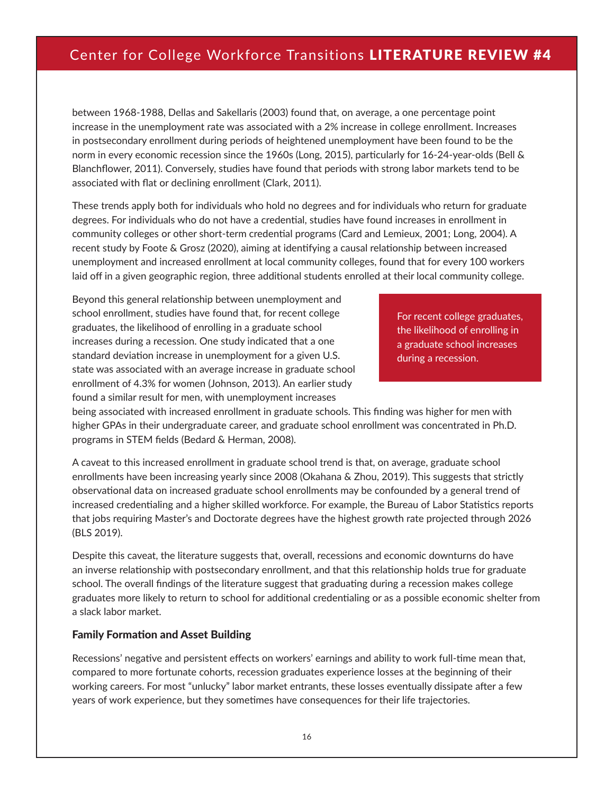between 1968-1988, Dellas and Sakellaris (2003) found that, on average, a one percentage point increase in the unemployment rate was associated with a 2% increase in college enrollment. Increases in postsecondary enrollment during periods of heightened unemployment have been found to be the norm in every economic recession since the 1960s (Long, 2015), particularly for 16-24-year-olds (Bell & Blanchflower, 2011). Conversely, studies have found that periods with strong labor markets tend to be associated with flat or declining enrollment (Clark, 2011).

These trends apply both for individuals who hold no degrees and for individuals who return for graduate degrees. For individuals who do not have a credential, studies have found increases in enrollment in community colleges or other short-term credential programs (Card and Lemieux, 2001; Long, 2004). A recent study by Foote & Grosz (2020), aiming at identifying a causal relationship between increased unemployment and increased enrollment at local community colleges, found that for every 100 workers laid off in a given geographic region, three additional students enrolled at their local community college.

Beyond this general relationship between unemployment and school enrollment, studies have found that, for recent college graduates, the likelihood of enrolling in a graduate school increases during a recession. One study indicated that a one standard deviation increase in unemployment for a given U.S. state was associated with an average increase in graduate school enrollment of 4.3% for women (Johnson, 2013). An earlier study found a similar result for men, with unemployment increases

For recent college graduates, the likelihood of enrolling in a graduate school increases during a recession.

being associated with increased enrollment in graduate schools. This finding was higher for men with higher GPAs in their undergraduate career, and graduate school enrollment was concentrated in Ph.D. programs in STEM fields (Bedard & Herman, 2008).

A caveat to this increased enrollment in graduate school trend is that, on average, graduate school enrollments have been increasing yearly since 2008 (Okahana & Zhou, 2019). This suggests that strictly observational data on increased graduate school enrollments may be confounded by a general trend of increased credentialing and a higher skilled workforce. For example, the Bureau of Labor Statistics reports that jobs requiring Master's and Doctorate degrees have the highest growth rate projected through 2026 (BLS 2019).

Despite this caveat, the literature suggests that, overall, recessions and economic downturns do have an inverse relationship with postsecondary enrollment, and that this relationship holds true for graduate school. The overall findings of the literature suggest that graduating during a recession makes college graduates more likely to return to school for additional credentialing or as a possible economic shelter from a slack labor market.

#### Family Formation and Asset Building

Recessions' negative and persistent effects on workers' earnings and ability to work full-time mean that, compared to more fortunate cohorts, recession graduates experience losses at the beginning of their working careers. For most "unlucky" labor market entrants, these losses eventually dissipate after a few years of work experience, but they sometimes have consequences for their life trajectories.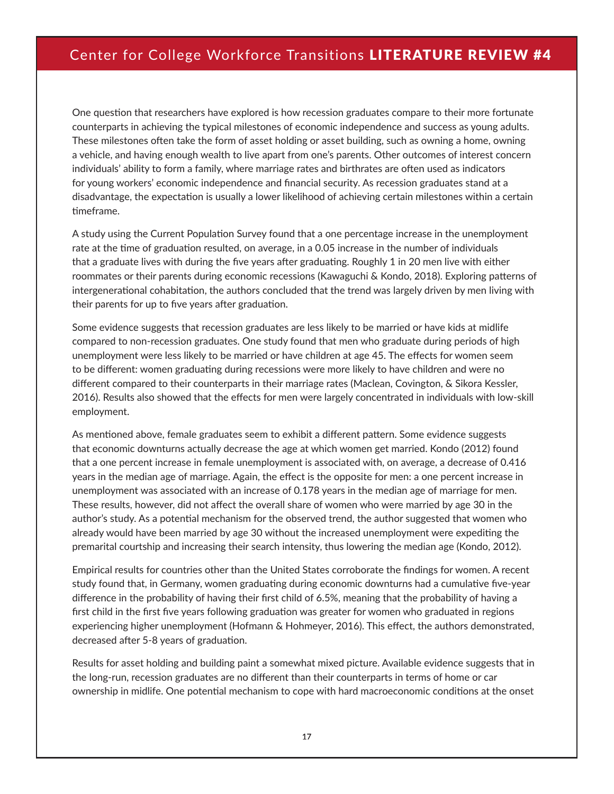One question that researchers have explored is how recession graduates compare to their more fortunate counterparts in achieving the typical milestones of economic independence and success as young adults. These milestones often take the form of asset holding or asset building, such as owning a home, owning a vehicle, and having enough wealth to live apart from one's parents. Other outcomes of interest concern individuals' ability to form a family, where marriage rates and birthrates are often used as indicators for young workers' economic independence and financial security. As recession graduates stand at a disadvantage, the expectation is usually a lower likelihood of achieving certain milestones within a certain timeframe.

A study using the Current Population Survey found that a one percentage increase in the unemployment rate at the time of graduation resulted, on average, in a 0.05 increase in the number of individuals that a graduate lives with during the five years after graduating. Roughly 1 in 20 men live with either roommates or their parents during economic recessions (Kawaguchi & Kondo, 2018). Exploring patterns of intergenerational cohabitation, the authors concluded that the trend was largely driven by men living with their parents for up to five years after graduation.

Some evidence suggests that recession graduates are less likely to be married or have kids at midlife compared to non-recession graduates. One study found that men who graduate during periods of high unemployment were less likely to be married or have children at age 45. The effects for women seem to be different: women graduating during recessions were more likely to have children and were no different compared to their counterparts in their marriage rates (Maclean, Covington, & Sikora Kessler, 2016). Results also showed that the effects for men were largely concentrated in individuals with low-skill employment.

As mentioned above, female graduates seem to exhibit a different pattern. Some evidence suggests that economic downturns actually decrease the age at which women get married. Kondo (2012) found that a one percent increase in female unemployment is associated with, on average, a decrease of 0.416 years in the median age of marriage. Again, the effect is the opposite for men: a one percent increase in unemployment was associated with an increase of 0.178 years in the median age of marriage for men. These results, however, did not affect the overall share of women who were married by age 30 in the author's study. As a potential mechanism for the observed trend, the author suggested that women who already would have been married by age 30 without the increased unemployment were expediting the premarital courtship and increasing their search intensity, thus lowering the median age (Kondo, 2012).

Empirical results for countries other than the United States corroborate the findings for women. A recent study found that, in Germany, women graduating during economic downturns had a cumulative five-year difference in the probability of having their first child of 6.5%, meaning that the probability of having a first child in the first five years following graduation was greater for women who graduated in regions experiencing higher unemployment (Hofmann & Hohmeyer, 2016). This effect, the authors demonstrated, decreased after 5-8 years of graduation.

Results for asset holding and building paint a somewhat mixed picture. Available evidence suggests that in the long-run, recession graduates are no different than their counterparts in terms of home or car ownership in midlife. One potential mechanism to cope with hard macroeconomic conditions at the onset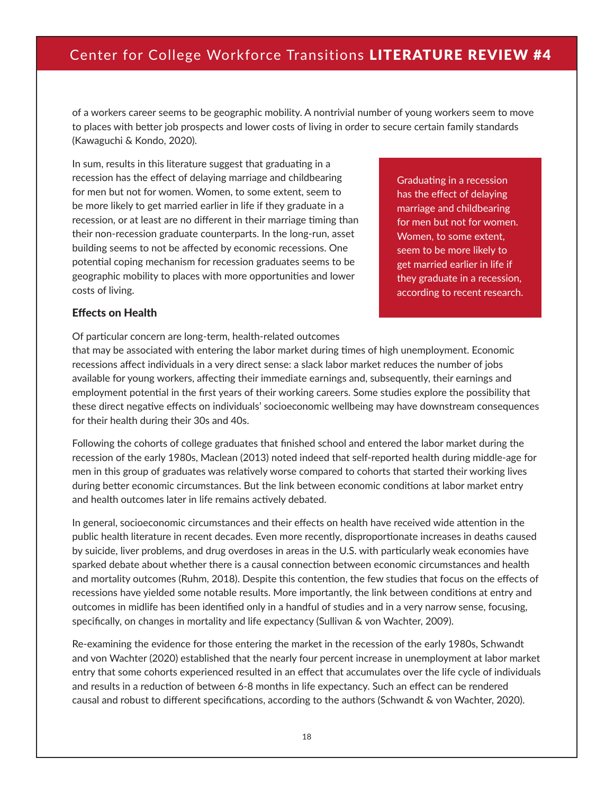of a workers career seems to be geographic mobility. A nontrivial number of young workers seem to move to places with better job prospects and lower costs of living in order to secure certain family standards (Kawaguchi & Kondo, 2020).

In sum, results in this literature suggest that graduating in a recession has the effect of delaying marriage and childbearing for men but not for women. Women, to some extent, seem to be more likely to get married earlier in life if they graduate in a recession, or at least are no different in their marriage timing than their non-recession graduate counterparts. In the long-run, asset building seems to not be affected by economic recessions. One potential coping mechanism for recession graduates seems to be geographic mobility to places with more opportunities and lower costs of living.

Graduating in a recession has the effect of delaying marriage and childbearing for men but not for women. Women, to some extent, seem to be more likely to get married earlier in life if they graduate in a recession, according to recent research.

#### Effects on Health

Of particular concern are long-term, health-related outcomes

that may be associated with entering the labor market during times of high unemployment. Economic recessions affect individuals in a very direct sense: a slack labor market reduces the number of jobs available for young workers, affecting their immediate earnings and, subsequently, their earnings and employment potential in the first years of their working careers. Some studies explore the possibility that these direct negative effects on individuals' socioeconomic wellbeing may have downstream consequences for their health during their 30s and 40s.

Following the cohorts of college graduates that finished school and entered the labor market during the recession of the early 1980s, Maclean (2013) noted indeed that self-reported health during middle-age for men in this group of graduates was relatively worse compared to cohorts that started their working lives during better economic circumstances. But the link between economic conditions at labor market entry and health outcomes later in life remains actively debated.

In general, socioeconomic circumstances and their effects on health have received wide attention in the public health literature in recent decades. Even more recently, disproportionate increases in deaths caused by suicide, liver problems, and drug overdoses in areas in the U.S. with particularly weak economies have sparked debate about whether there is a causal connection between economic circumstances and health and mortality outcomes (Ruhm, 2018). Despite this contention, the few studies that focus on the effects of recessions have yielded some notable results. More importantly, the link between conditions at entry and outcomes in midlife has been identified only in a handful of studies and in a very narrow sense, focusing, specifically, on changes in mortality and life expectancy (Sullivan & von Wachter, 2009).

Re-examining the evidence for those entering the market in the recession of the early 1980s, Schwandt and von Wachter (2020) established that the nearly four percent increase in unemployment at labor market entry that some cohorts experienced resulted in an effect that accumulates over the life cycle of individuals and results in a reduction of between 6-8 months in life expectancy. Such an effect can be rendered causal and robust to different specifications, according to the authors (Schwandt & von Wachter, 2020).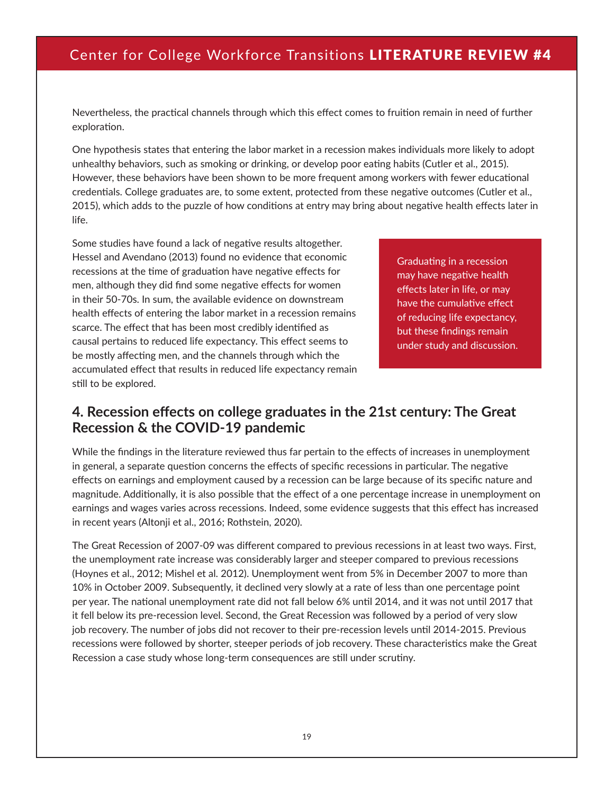Nevertheless, the practical channels through which this effect comes to fruition remain in need of further exploration.

One hypothesis states that entering the labor market in a recession makes individuals more likely to adopt unhealthy behaviors, such as smoking or drinking, or develop poor eating habits (Cutler et al., 2015). However, these behaviors have been shown to be more frequent among workers with fewer educational credentials. College graduates are, to some extent, protected from these negative outcomes (Cutler et al., 2015), which adds to the puzzle of how conditions at entry may bring about negative health effects later in life.

Some studies have found a lack of negative results altogether. Hessel and Avendano (2013) found no evidence that economic recessions at the time of graduation have negative effects for men, although they did find some negative effects for women in their 50-70s. In sum, the available evidence on downstream health effects of entering the labor market in a recession remains scarce. The effect that has been most credibly identified as causal pertains to reduced life expectancy. This effect seems to be mostly affecting men, and the channels through which the accumulated effect that results in reduced life expectancy remain still to be explored.

Graduating in a recession may have negative health effects later in life, or may have the cumulative effect of reducing life expectancy, but these findings remain under study and discussion.

#### **4. Recession effects on college graduates in the 21st century: The Great Recession & the COVID-19 pandemic**

While the findings in the literature reviewed thus far pertain to the effects of increases in unemployment in general, a separate question concerns the effects of specific recessions in particular. The negative effects on earnings and employment caused by a recession can be large because of its specific nature and magnitude. Additionally, it is also possible that the effect of a one percentage increase in unemployment on earnings and wages varies across recessions. Indeed, some evidence suggests that this effect has increased in recent years (Altonji et al., 2016; Rothstein, 2020).

The Great Recession of 2007-09 was different compared to previous recessions in at least two ways. First, the unemployment rate increase was considerably larger and steeper compared to previous recessions (Hoynes et al., 2012; Mishel et al. 2012). Unemployment went from 5% in December 2007 to more than 10% in October 2009. Subsequently, it declined very slowly at a rate of less than one percentage point per year. The national unemployment rate did not fall below 6% until 2014, and it was not until 2017 that it fell below its pre-recession level. Second, the Great Recession was followed by a period of very slow job recovery. The number of jobs did not recover to their pre-recession levels until 2014-2015. Previous recessions were followed by shorter, steeper periods of job recovery. These characteristics make the Great Recession a case study whose long-term consequences are still under scrutiny.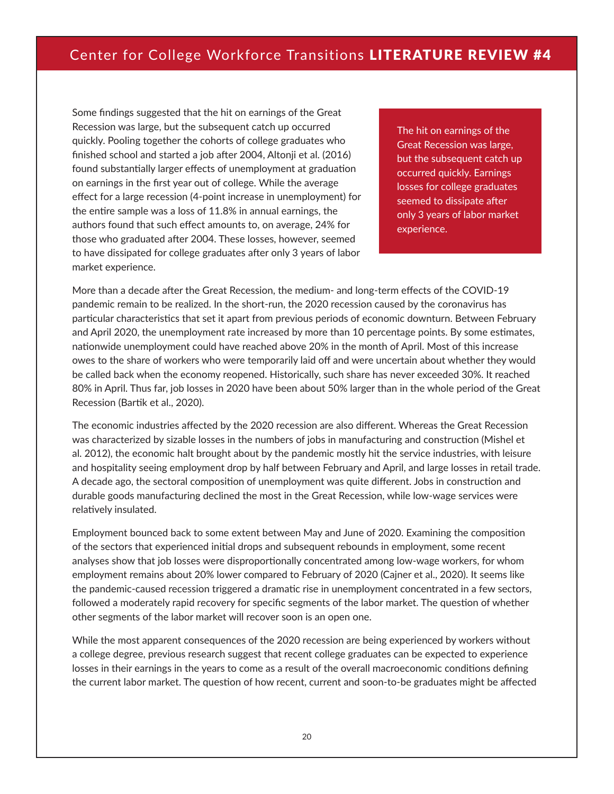Some findings suggested that the hit on earnings of the Great Recession was large, but the subsequent catch up occurred quickly. Pooling together the cohorts of college graduates who finished school and started a job after 2004, Altonji et al. (2016) found substantially larger effects of unemployment at graduation on earnings in the first year out of college. While the average effect for a large recession (4-point increase in unemployment) for the entire sample was a loss of 11.8% in annual earnings, the authors found that such effect amounts to, on average, 24% for those who graduated after 2004. These losses, however, seemed to have dissipated for college graduates after only 3 years of labor market experience.

The hit on earnings of the Great Recession was large, but the subsequent catch up occurred quickly. Earnings losses for college graduates seemed to dissipate after only 3 years of labor market experience.

More than a decade after the Great Recession, the medium- and long-term effects of the COVID-19 pandemic remain to be realized. In the short-run, the 2020 recession caused by the coronavirus has particular characteristics that set it apart from previous periods of economic downturn. Between February and April 2020, the unemployment rate increased by more than 10 percentage points. By some estimates, nationwide unemployment could have reached above 20% in the month of April. Most of this increase owes to the share of workers who were temporarily laid off and were uncertain about whether they would be called back when the economy reopened. Historically, such share has never exceeded 30%. It reached 80% in April. Thus far, job losses in 2020 have been about 50% larger than in the whole period of the Great Recession (Bartik et al., 2020).

The economic industries affected by the 2020 recession are also different. Whereas the Great Recession was characterized by sizable losses in the numbers of jobs in manufacturing and construction (Mishel et al. 2012), the economic halt brought about by the pandemic mostly hit the service industries, with leisure and hospitality seeing employment drop by half between February and April, and large losses in retail trade. A decade ago, the sectoral composition of unemployment was quite different. Jobs in construction and durable goods manufacturing declined the most in the Great Recession, while low-wage services were relatively insulated.

Employment bounced back to some extent between May and June of 2020. Examining the composition of the sectors that experienced initial drops and subsequent rebounds in employment, some recent analyses show that job losses were disproportionally concentrated among low-wage workers, for whom employment remains about 20% lower compared to February of 2020 (Cajner et al., 2020). It seems like the pandemic-caused recession triggered a dramatic rise in unemployment concentrated in a few sectors, followed a moderately rapid recovery for specific segments of the labor market. The question of whether other segments of the labor market will recover soon is an open one.

While the most apparent consequences of the 2020 recession are being experienced by workers without a college degree, previous research suggest that recent college graduates can be expected to experience losses in their earnings in the years to come as a result of the overall macroeconomic conditions defining the current labor market. The question of how recent, current and soon-to-be graduates might be affected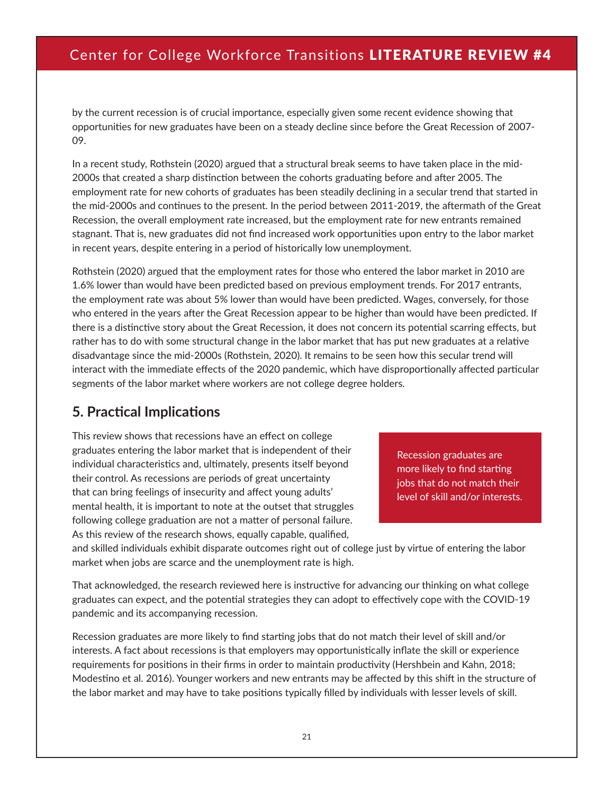by the current recession is of crucial importance, especially given some recent evidence showing that opportunities for new graduates have been on a steady decline since before the Great Recession of 2007- 09.

In a recent study, Rothstein (2020) argued that a structural break seems to have taken place in the mid-2000s that created a sharp distinction between the cohorts graduating before and after 2005. The employment rate for new cohorts of graduates has been steadily declining in a secular trend that started in the mid-2000s and continues to the present. In the period between 2011-2019, the aftermath of the Great Recession, the overall employment rate increased, but the employment rate for new entrants remained stagnant. That is, new graduates did not find increased work opportunities upon entry to the labor market in recent years, despite entering in a period of historically low unemployment.

Rothstein (2020) argued that the employment rates for those who entered the labor market in 2010 are 1.6% lower than would have been predicted based on previous employment trends. For 2017 entrants, the employment rate was about 5% lower than would have been predicted. Wages, conversely, for those who entered in the years after the Great Recession appear to be higher than would have been predicted. If there is a distinctive story about the Great Recession, it does not concern its potential scarring effects, but rather has to do with some structural change in the labor market that has put new graduates at a relative disadvantage since the mid-2000s (Rothstein, 2020). It remains to be seen how this secular trend will interact with the immediate effects of the 2020 pandemic, which have disproportionally affected particular segments of the labor market where workers are not college degree holders.

#### **5. Practical Implications**

This review shows that recessions have an effect on college graduates entering the labor market that is independent of their individual characteristics and, ultimately, presents itself beyond their control. As recessions are periods of great uncertainty that can bring feelings of insecurity and affect young adults' mental health, it is important to note at the outset that struggles following college graduation are not a matter of personal failure. As this review of the research shows, equally capable, qualified,

Recession graduates are more likely to find starting jobs that do not match their level of skill and/or interests.

and skilled individuals exhibit disparate outcomes right out of college just by virtue of entering the labor market when jobs are scarce and the unemployment rate is high.

That acknowledged, the research reviewed here is instructive for advancing our thinking on what college graduates can expect, and the potential strategies they can adopt to effectively cope with the COVID-19 pandemic and its accompanying recession.

Recession graduates are more likely to find starting jobs that do not match their level of skill and/or interests. A fact about recessions is that employers may opportunistically inflate the skill or experience requirements for positions in their firms in order to maintain productivity (Hershbein and Kahn, 2018; Modestino et al. 2016). Younger workers and new entrants may be affected by this shift in the structure of the labor market and may have to take positions typically filled by individuals with lesser levels of skill.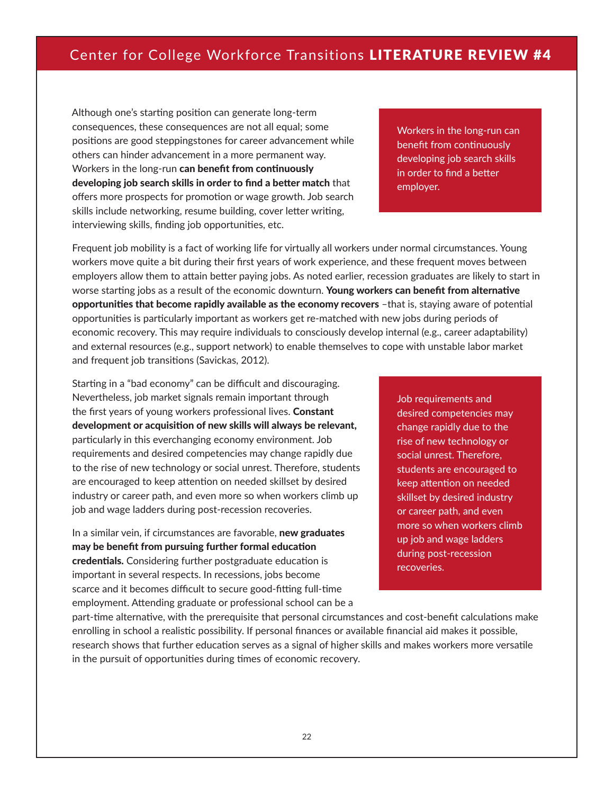Although one's starting position can generate long-term consequences, these consequences are not all equal; some positions are good steppingstones for career advancement while others can hinder advancement in a more permanent way. Workers in the long-run can benefit from continuously developing job search skills in order to find a better match that offers more prospects for promotion or wage growth. Job search skills include networking, resume building, cover letter writing, interviewing skills, finding job opportunities, etc.

Workers in the long-run can benefit from continuously developing job search skills in order to find a better employer.

Frequent job mobility is a fact of working life for virtually all workers under normal circumstances. Young workers move quite a bit during their first years of work experience, and these frequent moves between employers allow them to attain better paying jobs. As noted earlier, recession graduates are likely to start in worse starting jobs as a result of the economic downturn. Young workers can benefit from alternative opportunities that become rapidly available as the economy recovers –that is, staying aware of potential opportunities is particularly important as workers get re-matched with new jobs during periods of economic recovery. This may require individuals to consciously develop internal (e.g., career adaptability) and external resources (e.g., support network) to enable themselves to cope with unstable labor market and frequent job transitions (Savickas, 2012).

Starting in a "bad economy" can be difficult and discouraging. Nevertheless, job market signals remain important through the first years of young workers professional lives. Constant development or acquisition of new skills will always be relevant, particularly in this everchanging economy environment. Job requirements and desired competencies may change rapidly due to the rise of new technology or social unrest. Therefore, students are encouraged to keep attention on needed skillset by desired industry or career path, and even more so when workers climb up job and wage ladders during post-recession recoveries.

In a similar vein, if circumstances are favorable, new graduates may be benefit from pursuing further formal education credentials. Considering further postgraduate education is important in several respects. In recessions, jobs become scarce and it becomes difficult to secure good-fitting full-time employment. Attending graduate or professional school can be a Job requirements and desired competencies may change rapidly due to the rise of new technology or social unrest. Therefore, students are encouraged to keep attention on needed skillset by desired industry or career path, and even more so when workers climb up job and wage ladders during post-recession recoveries.

part-time alternative, with the prerequisite that personal circumstances and cost-benefit calculations make enrolling in school a realistic possibility. If personal finances or available financial aid makes it possible, research shows that further education serves as a signal of higher skills and makes workers more versatile in the pursuit of opportunities during times of economic recovery.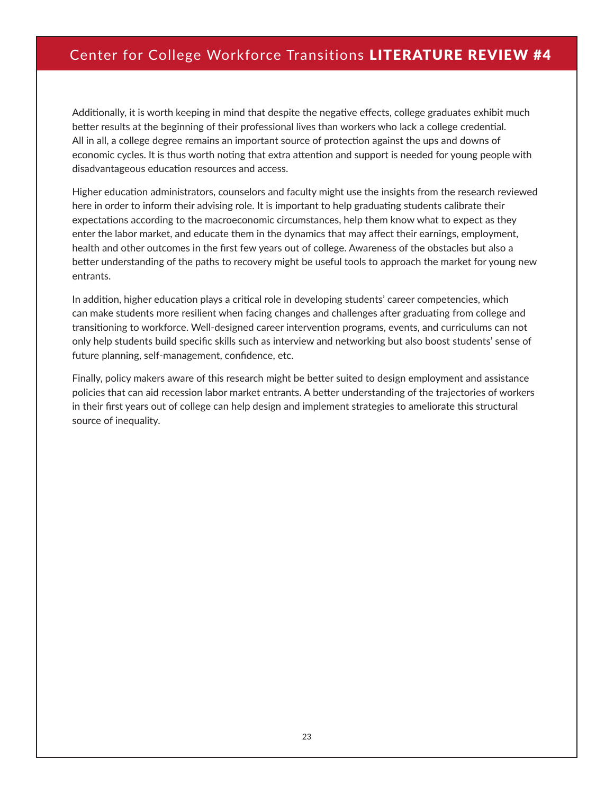Additionally, it is worth keeping in mind that despite the negative effects, college graduates exhibit much better results at the beginning of their professional lives than workers who lack a college credential. All in all, a college degree remains an important source of protection against the ups and downs of economic cycles. It is thus worth noting that extra attention and support is needed for young people with disadvantageous education resources and access.

Higher education administrators, counselors and faculty might use the insights from the research reviewed here in order to inform their advising role. It is important to help graduating students calibrate their expectations according to the macroeconomic circumstances, help them know what to expect as they enter the labor market, and educate them in the dynamics that may affect their earnings, employment, health and other outcomes in the first few years out of college. Awareness of the obstacles but also a better understanding of the paths to recovery might be useful tools to approach the market for young new entrants.

In addition, higher education plays a critical role in developing students' career competencies, which can make students more resilient when facing changes and challenges after graduating from college and transitioning to workforce. Well-designed career intervention programs, events, and curriculums can not only help students build specific skills such as interview and networking but also boost students' sense of future planning, self-management, confidence, etc.

Finally, policy makers aware of this research might be better suited to design employment and assistance policies that can aid recession labor market entrants. A better understanding of the trajectories of workers in their first years out of college can help design and implement strategies to ameliorate this structural source of inequality.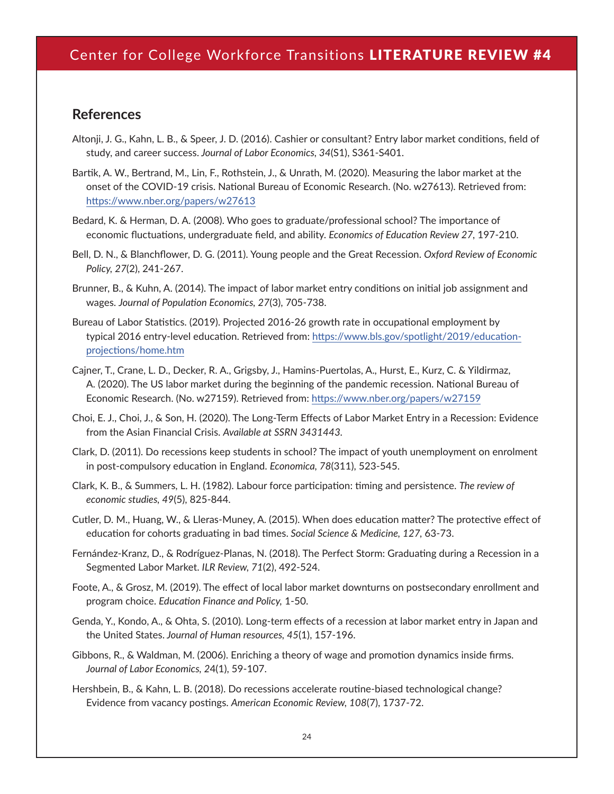#### **References**

- Altonji, J. G., Kahn, L. B., & Speer, J. D. (2016). Cashier or consultant? Entry labor market conditions, field of study, and career success. *Journal of Labor Economics, 34*(S1), S361-S401.
- Bartik, A. W., Bertrand, M., Lin, F., Rothstein, J., & Unrath, M. (2020). Measuring the labor market at the onset of the COVID-19 crisis. National Bureau of Economic Research. (No. w27613). Retrieved from: <https://www.nber.org/papers/w27613>
- Bedard, K. & Herman, D. A. (2008). Who goes to graduate/professional school? The importance of economic fluctuations, undergraduate field, and ability. *Economics of Education Review 27,* 197-210.
- Bell, D. N., & Blanchflower, D. G. (2011). Young people and the Great Recession. *Oxford Review of Economic Policy, 27*(2), 241-267.
- Brunner, B., & Kuhn, A. (2014). The impact of labor market entry conditions on initial job assignment and wages. *Journal of Population Economics, 27*(3), 705-738.
- Bureau of Labor Statistics. (2019). Projected 2016-26 growth rate in occupational employment by typical 2016 entry-level education. Retrieved from: [https://www.bls.gov/spotlight/2019/education](https://www.bls.gov/spotlight/2019/education-projections/home.htm)[projections/home.htm](https://www.bls.gov/spotlight/2019/education-projections/home.htm)
- Cajner, T., Crane, L. D., Decker, R. A., Grigsby, J., Hamins-Puertolas, A., Hurst, E., Kurz, C. & Yildirmaz, A. (2020). The US labor market during the beginning of the pandemic recession. National Bureau of Economic Research. (No. w27159). Retrieved from: <https://www.nber.org/papers/w27159>
- Choi, E. J., Choi, J., & Son, H. (2020). The Long-Term Effects of Labor Market Entry in a Recession: Evidence from the Asian Financial Crisis. *Available at SSRN 3431443.*
- Clark, D. (2011). Do recessions keep students in school? The impact of youth unemployment on enrolment in post‐compulsory education in England. *Economica, 78*(311), 523-545.
- Clark, K. B., & Summers, L. H. (1982). Labour force participation: timing and persistence. *The review of economic studies, 49*(5), 825-844.
- Cutler, D. M., Huang, W., & Lleras-Muney, A. (2015). When does education matter? The protective effect of education for cohorts graduating in bad times. *Social Science & Medicine, 127,* 63-73.
- Fernández-Kranz, D., & Rodríguez-Planas, N. (2018). The Perfect Storm: Graduating during a Recession in a Segmented Labor Market. *ILR Review, 71*(2), 492-524.
- Foote, A., & Grosz, M. (2019). The effect of local labor market downturns on postsecondary enrollment and program choice. *Education Finance and Policy,* 1-50.
- Genda, Y., Kondo, A., & Ohta, S. (2010). Long-term effects of a recession at labor market entry in Japan and the United States. *Journal of Human resources, 45*(1), 157-196.
- Gibbons, R., & Waldman, M. (2006). Enriching a theory of wage and promotion dynamics inside firms. *Journal of Labor Economics, 2*4(1), 59-107.
- Hershbein, B., & Kahn, L. B. (2018). Do recessions accelerate routine-biased technological change? Evidence from vacancy postings. *American Economic Review, 108*(7), 1737-72.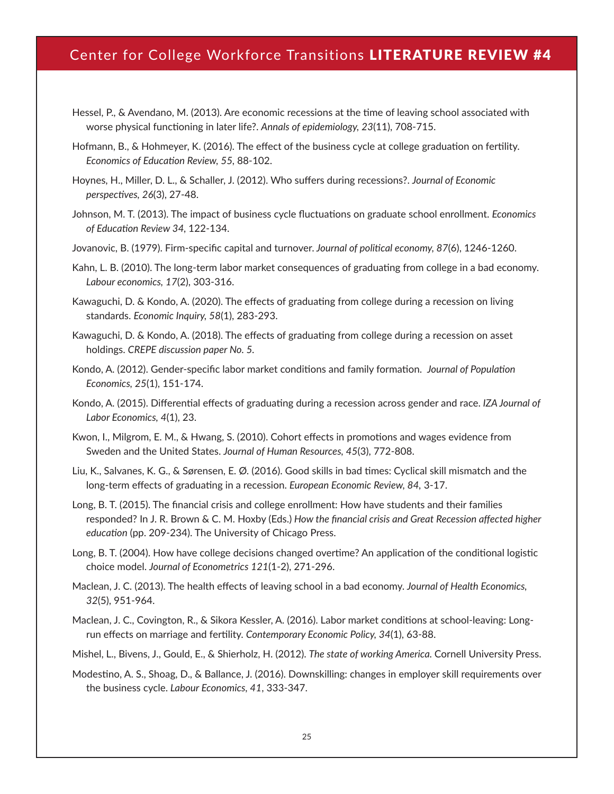- Hessel, P., & Avendano, M. (2013). Are economic recessions at the time of leaving school associated with worse physical functioning in later life?. *Annals of epidemiology, 23*(11), 708-715.
- Hofmann, B., & Hohmeyer, K. (2016). The effect of the business cycle at college graduation on fertility. *Economics of Education Review, 55,* 88-102.
- Hoynes, H., Miller, D. L., & Schaller, J. (2012). Who suffers during recessions?. *Journal of Economic perspectives, 26*(3), 27-48.
- Johnson, M. T. (2013). The impact of business cycle fluctuations on graduate school enrollment. *Economics of Education Review 34,* 122-134.
- Jovanovic, B. (1979). Firm-specific capital and turnover. *Journal of political economy, 87*(6), 1246-1260.
- Kahn, L. B. (2010). The long-term labor market consequences of graduating from college in a bad economy. *Labour economics, 17*(2), 303-316.
- Kawaguchi, D. & Kondo, A. (2020). The effects of graduating from college during a recession on living standards. *Economic Inquiry, 58*(1), 283-293.
- Kawaguchi, D. & Kondo, A. (2018). The effects of graduating from college during a recession on asset holdings. *CREPE discussion paper No. 5.*
- Kondo, A. (2012). Gender-specific labor market conditions and family formation. *Journal of Population Economics, 25*(1), 151-174.
- Kondo, A. (2015). Differential effects of graduating during a recession across gender and race. *IZA Journal of Labor Economics, 4*(1), 23.
- Kwon, I., Milgrom, E. M., & Hwang, S. (2010). Cohort effects in promotions and wages evidence from Sweden and the United States. *Journal of Human Resources, 45*(3), 772-808.
- Liu, K., Salvanes, K. G., & Sørensen, E. Ø. (2016). Good skills in bad times: Cyclical skill mismatch and the long-term effects of graduating in a recession. *European Economic Review, 84,* 3-17.
- Long, B. T. (2015). The financial crisis and college enrollment: How have students and their families responded? In J. R. Brown & C. M. Hoxby (Eds.) *How the financial crisis and Great Recession affected higher education* (pp. 209-234). The University of Chicago Press.
- Long, B. T. (2004). How have college decisions changed overtime? An application of the conditional logistic choice model. *Journal of Econometrics 121*(1-2), 271-296.
- Maclean, J. C. (2013). The health effects of leaving school in a bad economy. *Journal of Health Economics, 32*(5), 951-964.
- Maclean, J. C., Covington, R., & Sikora Kessler, A. (2016). Labor market conditions at school-leaving: Longrun effects on marriage and fertility. *Contemporary Economic Policy, 34*(1), 63-88.

Mishel, L., Bivens, J., Gould, E., & Shierholz, H. (2012). *The state of working America.* Cornell University Press.

Modestino, A. S., Shoag, D., & Ballance, J. (2016). Downskilling: changes in employer skill requirements over the business cycle. *Labour Economics, 41*, 333-347.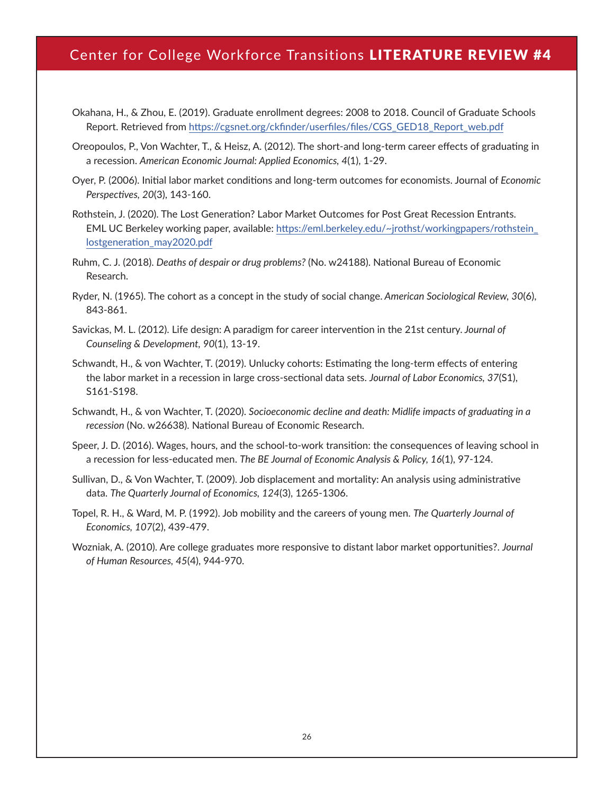- Okahana, H., & Zhou, E. (2019). Graduate enrollment degrees: 2008 to 2018. Council of Graduate Schools Report. Retrieved from [https://cgsnet.org/ckfinder/userfiles/files/CGS\\_GED18\\_Report\\_web.pdf](https://cgsnet.org/ckfinder/userfiles/files/CGS_GED18_Report_web.pdf)
- Oreopoulos, P., Von Wachter, T., & Heisz, A. (2012). The short-and long-term career effects of graduating in a recession. *American Economic Journal: Applied Economics, 4*(1), 1-29.
- Oyer, P. (2006). Initial labor market conditions and long-term outcomes for economists. Journal of *Economic Perspectives, 20*(3), 143-160.
- Rothstein, J. (2020). The Lost Generation? Labor Market Outcomes for Post Great Recession Entrants. EML UC Berkeley working paper, available: [https://eml.berkeley.edu/~jrothst/workingpapers/rothstein\\_](https://eml.berkeley.edu/~jrothst/workingpapers/rothstein_lostgeneration_may2020.pdf) [lostgeneration\\_may2020.pdf](https://eml.berkeley.edu/~jrothst/workingpapers/rothstein_lostgeneration_may2020.pdf)
- Ruhm, C. J. (2018). *Deaths of despair or drug problems?* (No. w24188). National Bureau of Economic Research.
- Ryder, N. (1965). The cohort as a concept in the study of social change. *American Sociological Review, 30*(6), 843-861.
- Savickas, M. L. (2012). Life design: A paradigm for career intervention in the 21st century. *Journal of Counseling & Development, 90*(1), 13-19.
- Schwandt, H., & von Wachter, T. (2019). Unlucky cohorts: Estimating the long-term effects of entering the labor market in a recession in large cross-sectional data sets. *Journal of Labor Economics, 37*(S1), S161-S198.
- Schwandt, H., & von Wachter, T. (2020). *Socioeconomic decline and death: Midlife impacts of graduating in a recession* (No. w26638). National Bureau of Economic Research.
- Speer, J. D. (2016). Wages, hours, and the school-to-work transition: the consequences of leaving school in a recession for less-educated men. *The BE Journal of Economic Analysis & Policy, 16*(1), 97-124.
- Sullivan, D., & Von Wachter, T. (2009). Job displacement and mortality: An analysis using administrative data. *The Quarterly Journal of Economics, 124*(3), 1265-1306.
- Topel, R. H., & Ward, M. P. (1992). Job mobility and the careers of young men. *The Quarterly Journal of Economics, 107*(2), 439-479.
- Wozniak, A. (2010). Are college graduates more responsive to distant labor market opportunities?. *Journal of Human Resources, 45*(4), 944-970.